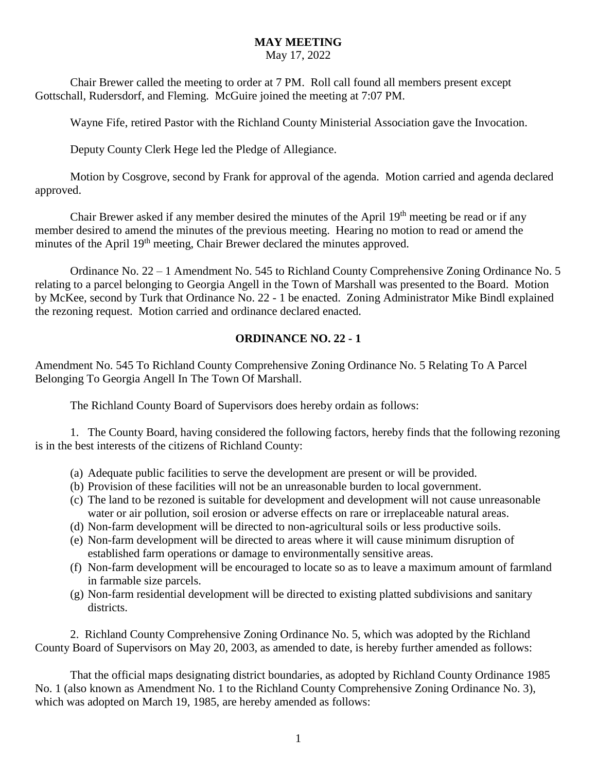#### **MAY MEETING**

#### May 17, 2022

Chair Brewer called the meeting to order at 7 PM. Roll call found all members present except Gottschall, Rudersdorf, and Fleming. McGuire joined the meeting at 7:07 PM.

Wayne Fife, retired Pastor with the Richland County Ministerial Association gave the Invocation.

Deputy County Clerk Hege led the Pledge of Allegiance.

Motion by Cosgrove, second by Frank for approval of the agenda. Motion carried and agenda declared approved.

Chair Brewer asked if any member desired the minutes of the April 19<sup>th</sup> meeting be read or if any member desired to amend the minutes of the previous meeting. Hearing no motion to read or amend the minutes of the April 19<sup>th</sup> meeting, Chair Brewer declared the minutes approved.

Ordinance No. 22 – 1 Amendment No. 545 to Richland County Comprehensive Zoning Ordinance No. 5 relating to a parcel belonging to Georgia Angell in the Town of Marshall was presented to the Board. Motion by McKee, second by Turk that Ordinance No. 22 - 1 be enacted. Zoning Administrator Mike Bindl explained the rezoning request. Motion carried and ordinance declared enacted.

#### **ORDINANCE NO. 22 - 1**

Amendment No. 545 To Richland County Comprehensive Zoning Ordinance No. 5 Relating To A Parcel Belonging To Georgia Angell In The Town Of Marshall.

The Richland County Board of Supervisors does hereby ordain as follows:

1. The County Board, having considered the following factors, hereby finds that the following rezoning is in the best interests of the citizens of Richland County:

- (a) Adequate public facilities to serve the development are present or will be provided.
- (b) Provision of these facilities will not be an unreasonable burden to local government.
- (c) The land to be rezoned is suitable for development and development will not cause unreasonable water or air pollution, soil erosion or adverse effects on rare or irreplaceable natural areas.
- (d) Non-farm development will be directed to non-agricultural soils or less productive soils.
- (e) Non-farm development will be directed to areas where it will cause minimum disruption of established farm operations or damage to environmentally sensitive areas.
- (f) Non-farm development will be encouraged to locate so as to leave a maximum amount of farmland in farmable size parcels.
- (g) Non-farm residential development will be directed to existing platted subdivisions and sanitary districts.

2. Richland County Comprehensive Zoning Ordinance No. 5, which was adopted by the Richland County Board of Supervisors on May 20, 2003, as amended to date, is hereby further amended as follows:

That the official maps designating district boundaries, as adopted by Richland County Ordinance 1985 No. 1 (also known as Amendment No. 1 to the Richland County Comprehensive Zoning Ordinance No. 3), which was adopted on March 19, 1985, are hereby amended as follows: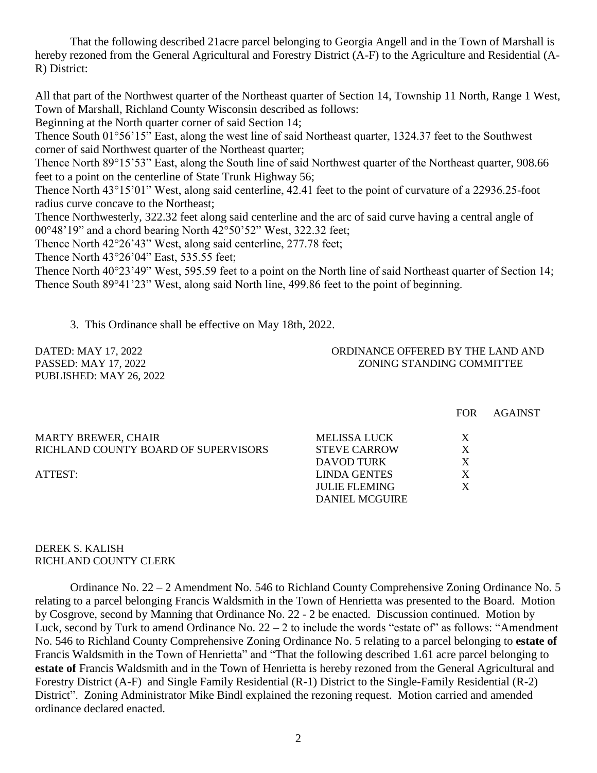That the following described 21acre parcel belonging to Georgia Angell and in the Town of Marshall is hereby rezoned from the General Agricultural and Forestry District (A-F) to the Agriculture and Residential (A-R) District:

All that part of the Northwest quarter of the Northeast quarter of Section 14, Township 11 North, Range 1 West, Town of Marshall, Richland County Wisconsin described as follows:

Beginning at the North quarter corner of said Section 14;

Thence South 01°56'15" East, along the west line of said Northeast quarter, 1324.37 feet to the Southwest corner of said Northwest quarter of the Northeast quarter;

Thence North 89°15'53" East, along the South line of said Northwest quarter of the Northeast quarter, 908.66 feet to a point on the centerline of State Trunk Highway 56;

Thence North 43°15'01" West, along said centerline, 42.41 feet to the point of curvature of a 22936.25-foot radius curve concave to the Northeast;

Thence Northwesterly, 322.32 feet along said centerline and the arc of said curve having a central angle of 00°48'19" and a chord bearing North 42°50'52" West, 322.32 feet;

Thence North 42°26'43" West, along said centerline, 277.78 feet;

Thence North 43°26'04" East, 535.55 feet;

Thence North  $40^{\circ}23'49''$  West, 595.59 feet to a point on the North line of said Northeast quarter of Section 14; Thence South 89°41'23" West, along said North line, 499.86 feet to the point of beginning.

3. This Ordinance shall be effective on May 18th, 2022.

PUBLISHED: MAY 26, 2022

DATED: MAY 17, 2022 ORDINANCE OFFERED BY THE LAND AND PASSED: MAY 17, 2022 ZONING STANDING COMMITTEE

|                                      |                       | <b>FOR</b> | <b>AGAINST</b> |
|--------------------------------------|-----------------------|------------|----------------|
| <b>MARTY BREWER, CHAIR</b>           | MELISSA LUCK          | X          |                |
| RICHLAND COUNTY BOARD OF SUPERVISORS | <b>STEVE CARROW</b>   | X          |                |
|                                      | DAVOD TURK            | X          |                |
| ATTEST:                              | <b>LINDA GENTES</b>   | X          |                |
|                                      | <b>JULIE FLEMING</b>  | X          |                |
|                                      | <b>DANIEL MCGUIRE</b> |            |                |
|                                      |                       |            |                |

#### DEREK S. KALISH RICHLAND COUNTY CLERK

Ordinance No. 22 – 2 Amendment No. 546 to Richland County Comprehensive Zoning Ordinance No. 5 relating to a parcel belonging Francis Waldsmith in the Town of Henrietta was presented to the Board. Motion by Cosgrove, second by Manning that Ordinance No. 22 - 2 be enacted. Discussion continued. Motion by Luck, second by Turk to amend Ordinance No.  $22 - 2$  to include the words "estate of" as follows: "Amendment No. 546 to Richland County Comprehensive Zoning Ordinance No. 5 relating to a parcel belonging to **estate of** Francis Waldsmith in the Town of Henrietta" and "That the following described 1.61 acre parcel belonging to **estate of** Francis Waldsmith and in the Town of Henrietta is hereby rezoned from the General Agricultural and Forestry District (A-F) and Single Family Residential (R-1) District to the Single-Family Residential (R-2) District". Zoning Administrator Mike Bindl explained the rezoning request. Motion carried and amended ordinance declared enacted.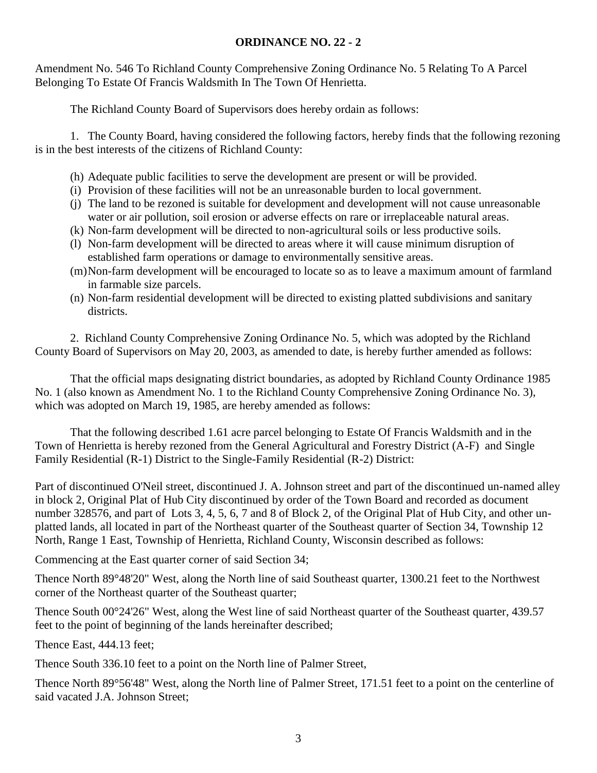#### **ORDINANCE NO. 22 - 2**

Amendment No. 546 To Richland County Comprehensive Zoning Ordinance No. 5 Relating To A Parcel Belonging To Estate Of Francis Waldsmith In The Town Of Henrietta.

The Richland County Board of Supervisors does hereby ordain as follows:

1. The County Board, having considered the following factors, hereby finds that the following rezoning is in the best interests of the citizens of Richland County:

- (h) Adequate public facilities to serve the development are present or will be provided.
- (i) Provision of these facilities will not be an unreasonable burden to local government.
- (j) The land to be rezoned is suitable for development and development will not cause unreasonable water or air pollution, soil erosion or adverse effects on rare or irreplaceable natural areas.
- (k) Non-farm development will be directed to non-agricultural soils or less productive soils.
- (l) Non-farm development will be directed to areas where it will cause minimum disruption of established farm operations or damage to environmentally sensitive areas.
- (m)Non-farm development will be encouraged to locate so as to leave a maximum amount of farmland in farmable size parcels.
- (n) Non-farm residential development will be directed to existing platted subdivisions and sanitary districts.

2. Richland County Comprehensive Zoning Ordinance No. 5, which was adopted by the Richland County Board of Supervisors on May 20, 2003, as amended to date, is hereby further amended as follows:

That the official maps designating district boundaries, as adopted by Richland County Ordinance 1985 No. 1 (also known as Amendment No. 1 to the Richland County Comprehensive Zoning Ordinance No. 3), which was adopted on March 19, 1985, are hereby amended as follows:

That the following described 1.61 acre parcel belonging to Estate Of Francis Waldsmith and in the Town of Henrietta is hereby rezoned from the General Agricultural and Forestry District (A-F) and Single Family Residential (R-1) District to the Single-Family Residential (R-2) District:

Part of discontinued O'Neil street, discontinued J. A. Johnson street and part of the discontinued un-named alley in block 2, Original Plat of Hub City discontinued by order of the Town Board and recorded as document number 328576, and part of Lots 3, 4, 5, 6, 7 and 8 of Block 2, of the Original Plat of Hub City, and other unplatted lands, all located in part of the Northeast quarter of the Southeast quarter of Section 34, Township 12 North, Range 1 East, Township of Henrietta, Richland County, Wisconsin described as follows:

Commencing at the East quarter corner of said Section 34;

Thence North 89°48'20" West, along the North line of said Southeast quarter, 1300.21 feet to the Northwest corner of the Northeast quarter of the Southeast quarter;

Thence South 00°24'26" West, along the West line of said Northeast quarter of the Southeast quarter, 439.57 feet to the point of beginning of the lands hereinafter described;

Thence East, 444.13 feet;

Thence South 336.10 feet to a point on the North line of Palmer Street,

Thence North 89°56'48" West, along the North line of Palmer Street, 171.51 feet to a point on the centerline of said vacated J.A. Johnson Street;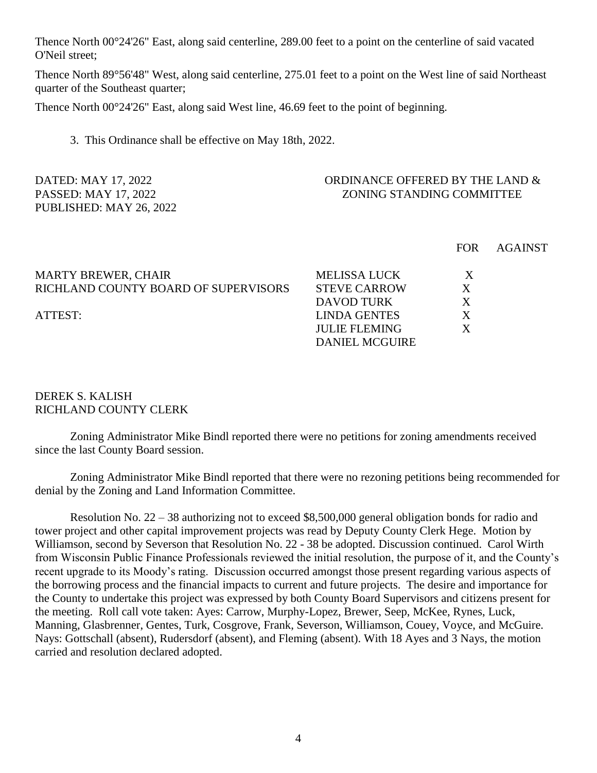Thence North 00°24'26" East, along said centerline, 289.00 feet to a point on the centerline of said vacated O'Neil street;

Thence North 89°56'48" West, along said centerline, 275.01 feet to a point on the West line of said Northeast quarter of the Southeast quarter;

Thence North 00°24'26" East, along said West line, 46.69 feet to the point of beginning.

3. This Ordinance shall be effective on May 18th, 2022.

#### DATED: MAY 17, 2022 CORDINANCE OFFERED BY THE LAND & PASSED: MAY 17, 2022 2001 2001 NO 2008 2008 2008 2008 2008 2008 2010 12:00 2010 12:00 2010 12:00 2010 12:00 20

|                                      |                       | <b>FOR</b> | <b>AGAINST</b> |
|--------------------------------------|-----------------------|------------|----------------|
| <b>MARTY BREWER, CHAIR</b>           | <b>MELISSA LUCK</b>   | X          |                |
| RICHLAND COUNTY BOARD OF SUPERVISORS | <b>STEVE CARROW</b>   | X          |                |
|                                      | DAVOD TURK            | X          |                |
| ATTEST:                              | <b>LINDA GENTES</b>   | X          |                |
|                                      | <b>JULIE FLEMING</b>  |            |                |
|                                      | <b>DANIEL MCGUIRE</b> |            |                |
|                                      |                       |            |                |

#### DEREK S. KALISH RICHLAND COUNTY CLERK

PUBLISHED: MAY 26, 2022

Zoning Administrator Mike Bindl reported there were no petitions for zoning amendments received since the last County Board session.

Zoning Administrator Mike Bindl reported that there were no rezoning petitions being recommended for denial by the Zoning and Land Information Committee.

Resolution No. 22 – 38 authorizing not to exceed \$8,500,000 general obligation bonds for radio and tower project and other capital improvement projects was read by Deputy County Clerk Hege. Motion by Williamson, second by Severson that Resolution No. 22 - 38 be adopted. Discussion continued. Carol Wirth from Wisconsin Public Finance Professionals reviewed the initial resolution, the purpose of it, and the County's recent upgrade to its Moody's rating. Discussion occurred amongst those present regarding various aspects of the borrowing process and the financial impacts to current and future projects. The desire and importance for the County to undertake this project was expressed by both County Board Supervisors and citizens present for the meeting. Roll call vote taken: Ayes: Carrow, Murphy-Lopez, Brewer, Seep, McKee, Rynes, Luck, Manning, Glasbrenner, Gentes, Turk, Cosgrove, Frank, Severson, Williamson, Couey, Voyce, and McGuire. Nays: Gottschall (absent), Rudersdorf (absent), and Fleming (absent). With 18 Ayes and 3 Nays, the motion carried and resolution declared adopted.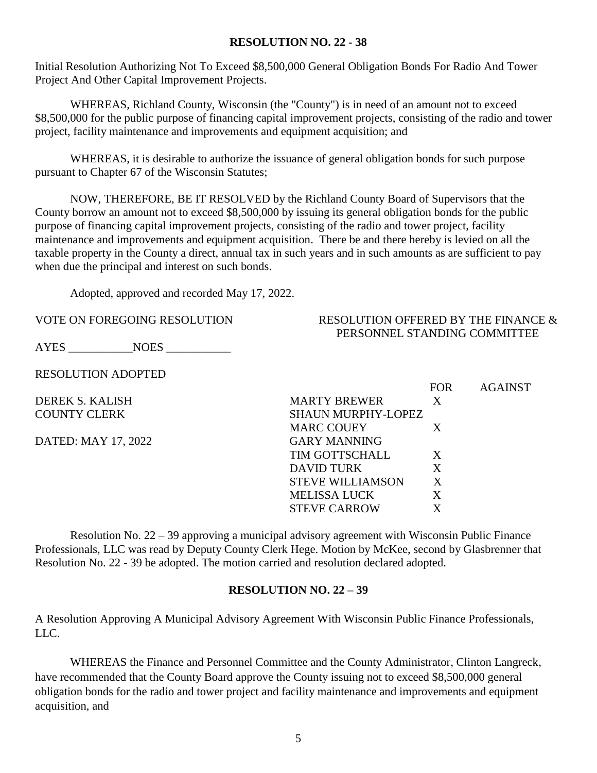#### **RESOLUTION NO. 22 - 38**

Initial Resolution Authorizing Not To Exceed \$8,500,000 General Obligation Bonds For Radio And Tower Project And Other Capital Improvement Projects.

WHEREAS, Richland County, Wisconsin (the "County") is in need of an amount not to exceed \$8,500,000 for the public purpose of financing capital improvement projects, consisting of the radio and tower project, facility maintenance and improvements and equipment acquisition; and

WHEREAS, it is desirable to authorize the issuance of general obligation bonds for such purpose pursuant to Chapter 67 of the Wisconsin Statutes;

NOW, THEREFORE, BE IT RESOLVED by the Richland County Board of Supervisors that the County borrow an amount not to exceed \$8,500,000 by issuing its general obligation bonds for the public purpose of financing capital improvement projects, consisting of the radio and tower project, facility maintenance and improvements and equipment acquisition. There be and there hereby is levied on all the taxable property in the County a direct, annual tax in such years and in such amounts as are sufficient to pay when due the principal and interest on such bonds.

Adopted, approved and recorded May 17, 2022.

AYES NOES

RESOLUTION ADOPTED

DEREK S. KALISH **COUNTY CLERK** 

DATED: MAY 17, 2022

#### VOTE ON FOREGOING RESOLUTION RESOLUTION RESOLUTION OFFERED BY THE FINANCE  $\&$ PERSONNEL STANDING COMMITTEE

|                         | <b>FOR</b> | <b>AGAINST</b> |
|-------------------------|------------|----------------|
| <b>MARTY BREWER</b>     | X          |                |
| SHAUN MURPHY-LOPEZ      |            |                |
| <b>MARC COUEY</b>       | X          |                |
| GARY MANNING            |            |                |
| <b>TIM GOTTSCHALL</b>   | X          |                |
| DAVID TURK              | X          |                |
| <b>STEVE WILLIAMSON</b> | X          |                |
| MELISSA LUCK            | X          |                |
| <b>STEVE CARROW</b>     | X          |                |

Resolution No. 22 – 39 approving a municipal advisory agreement with Wisconsin Public Finance Professionals, LLC was read by Deputy County Clerk Hege. Motion by McKee, second by Glasbrenner that Resolution No. 22 - 39 be adopted. The motion carried and resolution declared adopted.

#### **RESOLUTION NO. 22 – 39**

A Resolution Approving A Municipal Advisory Agreement With Wisconsin Public Finance Professionals, LLC.

WHEREAS the Finance and Personnel Committee and the County Administrator, Clinton Langreck, have recommended that the County Board approve the County issuing not to exceed \$8,500,000 general obligation bonds for the radio and tower project and facility maintenance and improvements and equipment acquisition, and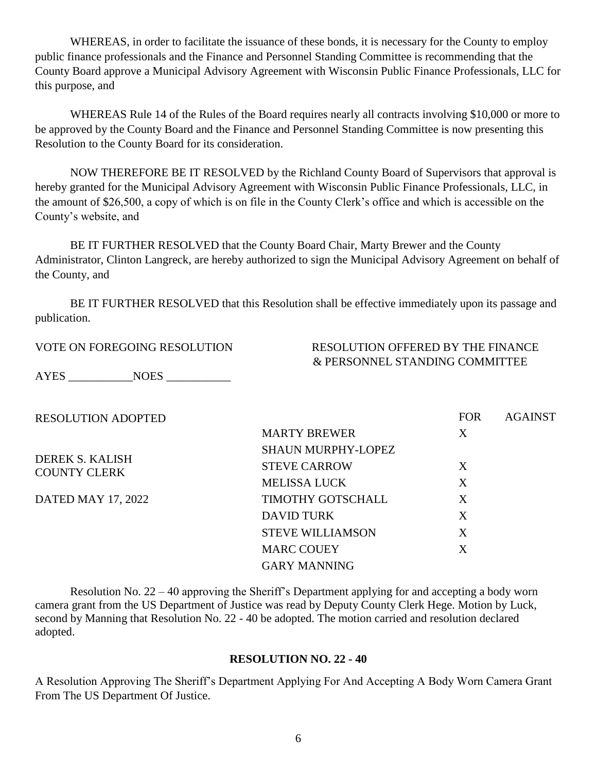WHEREAS, in order to facilitate the issuance of these bonds, it is necessary for the County to employ public finance professionals and the Finance and Personnel Standing Committee is recommending that the County Board approve a Municipal Advisory Agreement with Wisconsin Public Finance Professionals, LLC for this purpose, and

WHEREAS Rule 14 of the Rules of the Board requires nearly all contracts involving \$10,000 or more to be approved by the County Board and the Finance and Personnel Standing Committee is now presenting this Resolution to the County Board for its consideration.

NOW THEREFORE BE IT RESOLVED by the Richland County Board of Supervisors that approval is hereby granted for the Municipal Advisory Agreement with Wisconsin Public Finance Professionals, LLC, in the amount of \$26,500, a copy of which is on file in the County Clerk's office and which is accessible on the County's website, and

BE IT FURTHER RESOLVED that the County Board Chair, Marty Brewer and the County Administrator, Clinton Langreck, are hereby authorized to sign the Municipal Advisory Agreement on behalf of the County, and

BE IT FURTHER RESOLVED that this Resolution shall be effective immediately upon its passage and publication.

VOTE ON FOREGOING RESOLUTION RESOLUTION OFFERED BY THE FINANCE & PERSONNEL STANDING COMMITTEE

 $F$ <sup> $\alpha$ </sup> $A$  $A$  $A$  $A$  $A$ 

AYES NOES

| <b>RESOLUTION ADOPTED</b>              |                           | <b>FOR</b> | <b>AGAINST</b> |
|----------------------------------------|---------------------------|------------|----------------|
|                                        | <b>MARTY BREWER</b>       | X          |                |
|                                        | <b>SHAUN MURPHY-LOPEZ</b> |            |                |
| DEREK S. KALISH<br><b>COUNTY CLERK</b> | <b>STEVE CARROW</b>       | X          |                |
|                                        | <b>MELISSA LUCK</b>       | X          |                |
| DATED MAY 17, 2022                     | TIMOTHY GOTSCHALL         | X          |                |
|                                        | <b>DAVID TURK</b>         | X          |                |
|                                        | <b>STEVE WILLIAMSON</b>   | X          |                |
|                                        | <b>MARC COUEY</b>         | X          |                |
|                                        | <b>GARY MANNING</b>       |            |                |

Resolution No. 22 – 40 approving the Sheriff's Department applying for and accepting a body worn camera grant from the US Department of Justice was read by Deputy County Clerk Hege. Motion by Luck, second by Manning that Resolution No. 22 - 40 be adopted. The motion carried and resolution declared adopted.

#### **RESOLUTION NO. 22 - 40**

A Resolution Approving The Sheriff's Department Applying For And Accepting A Body Worn Camera Grant From The US Department Of Justice.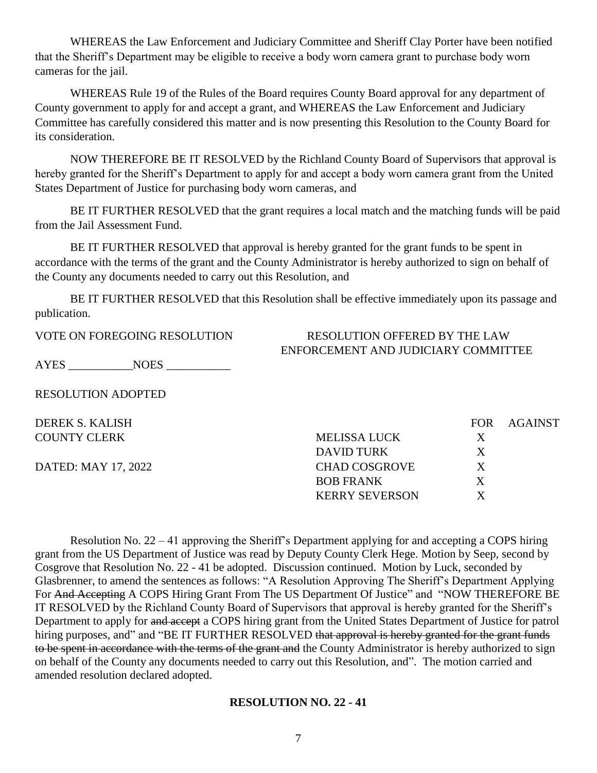WHEREAS the Law Enforcement and Judiciary Committee and Sheriff Clay Porter have been notified that the Sheriff's Department may be eligible to receive a body worn camera grant to purchase body worn cameras for the jail.

WHEREAS Rule 19 of the Rules of the Board requires County Board approval for any department of County government to apply for and accept a grant, and WHEREAS the Law Enforcement and Judiciary Committee has carefully considered this matter and is now presenting this Resolution to the County Board for its consideration.

NOW THEREFORE BE IT RESOLVED by the Richland County Board of Supervisors that approval is hereby granted for the Sheriff's Department to apply for and accept a body worn camera grant from the United States Department of Justice for purchasing body worn cameras, and

BE IT FURTHER RESOLVED that the grant requires a local match and the matching funds will be paid from the Jail Assessment Fund.

BE IT FURTHER RESOLVED that approval is hereby granted for the grant funds to be spent in accordance with the terms of the grant and the County Administrator is hereby authorized to sign on behalf of the County any documents needed to carry out this Resolution, and

BE IT FURTHER RESOLVED that this Resolution shall be effective immediately upon its passage and publication.

# VOTE ON FOREGOING RESOLUTION RESOLUTION OFFERED BY THE LAW

AYES \_\_\_\_\_\_\_\_\_\_\_NOES \_\_\_\_\_\_\_\_\_\_\_

RESOLUTION ADOPTED

| ENFORCEMENT AND JUDICIARY COMMITTEE |  |
|-------------------------------------|--|
|                                     |  |

| DEREK S. KALISH     |                       | FOR - | AGAINST |
|---------------------|-----------------------|-------|---------|
| <b>COUNTY CLERK</b> | MELISSA LUCK          | X     |         |
|                     | DAVID TURK            | X     |         |
| DATED: MAY 17, 2022 | <b>CHAD COSGROVE</b>  | X     |         |
|                     | <b>BOB FRANK</b>      | X     |         |
|                     | <b>KERRY SEVERSON</b> |       |         |

Resolution No. 22 – 41 approving the Sheriff's Department applying for and accepting a COPS hiring grant from the US Department of Justice was read by Deputy County Clerk Hege. Motion by Seep, second by Cosgrove that Resolution No. 22 - 41 be adopted. Discussion continued. Motion by Luck, seconded by Glasbrenner, to amend the sentences as follows: "A Resolution Approving The Sheriff's Department Applying For And Accepting A COPS Hiring Grant From The US Department Of Justice" and "NOW THEREFORE BE IT RESOLVED by the Richland County Board of Supervisors that approval is hereby granted for the Sheriff's Department to apply for and accept a COPS hiring grant from the United States Department of Justice for patrol hiring purposes, and" and "BE IT FURTHER RESOLVED that approval is hereby granted for the grant funds to be spent in accordance with the terms of the grant and the County Administrator is hereby authorized to sign on behalf of the County any documents needed to carry out this Resolution, and". The motion carried and amended resolution declared adopted.

#### **RESOLUTION NO. 22 - 41**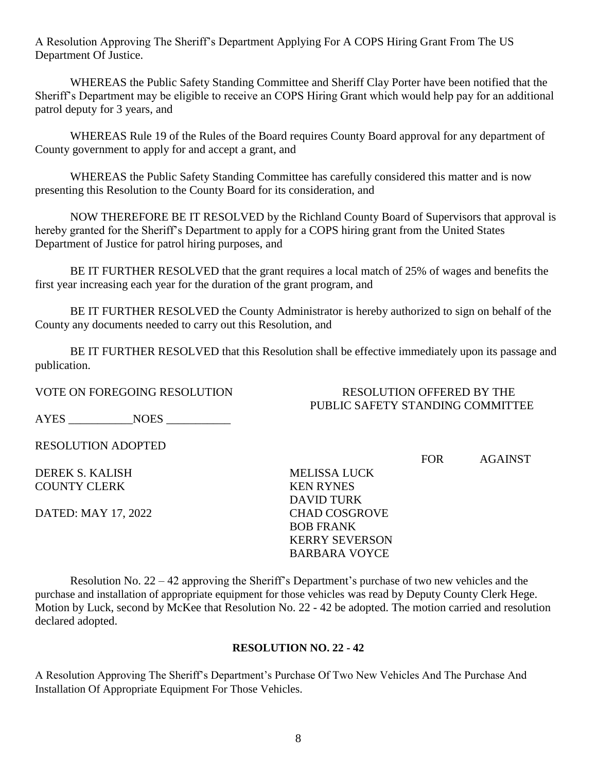A Resolution Approving The Sheriff's Department Applying For A COPS Hiring Grant From The US Department Of Justice.

WHEREAS the Public Safety Standing Committee and Sheriff Clay Porter have been notified that the Sheriff's Department may be eligible to receive an COPS Hiring Grant which would help pay for an additional patrol deputy for 3 years, and

WHEREAS Rule 19 of the Rules of the Board requires County Board approval for any department of County government to apply for and accept a grant, and

WHEREAS the Public Safety Standing Committee has carefully considered this matter and is now presenting this Resolution to the County Board for its consideration, and

NOW THEREFORE BE IT RESOLVED by the Richland County Board of Supervisors that approval is hereby granted for the Sheriff's Department to apply for a COPS hiring grant from the United States Department of Justice for patrol hiring purposes, and

BE IT FURTHER RESOLVED that the grant requires a local match of 25% of wages and benefits the first year increasing each year for the duration of the grant program, and

BE IT FURTHER RESOLVED the County Administrator is hereby authorized to sign on behalf of the County any documents needed to carry out this Resolution, and

BE IT FURTHER RESOLVED that this Resolution shall be effective immediately upon its passage and publication.

VOTE ON FOREGOING RESOLUTION RESOLUTION RESOLUTION OFFERED BY THE

AYES NOES

RESOLUTION ADOPTED

DEREK S. KALISH MELISSA LUCK COUNTY CLERK KEN RYNES

DATED: MAY 17, 2022 CHAD COSGROVE

PUBLIC SAFETY STANDING COMMITTEE

FOR AGAINST

 DAVID TURK BOB FRANK KERRY SEVERSON BARBARA VOYCE

Resolution No. 22 – 42 approving the Sheriff's Department's purchase of two new vehicles and the purchase and installation of appropriate equipment for those vehicles was read by Deputy County Clerk Hege. Motion by Luck, second by McKee that Resolution No. 22 - 42 be adopted. The motion carried and resolution declared adopted.

#### **RESOLUTION NO. 22 - 42**

A Resolution Approving The Sheriff's Department's Purchase Of Two New Vehicles And The Purchase And Installation Of Appropriate Equipment For Those Vehicles.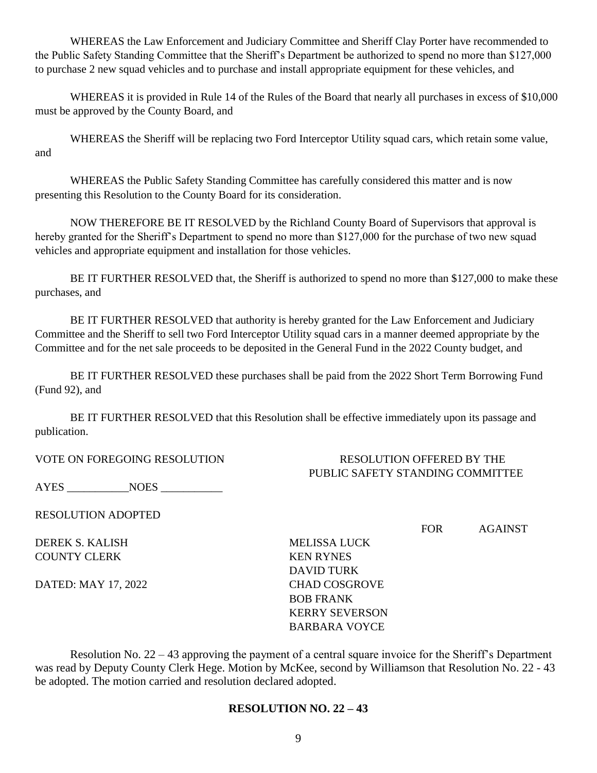WHEREAS the Law Enforcement and Judiciary Committee and Sheriff Clay Porter have recommended to the Public Safety Standing Committee that the Sheriff's Department be authorized to spend no more than \$127,000 to purchase 2 new squad vehicles and to purchase and install appropriate equipment for these vehicles, and

WHEREAS it is provided in Rule 14 of the Rules of the Board that nearly all purchases in excess of \$10,000 must be approved by the County Board, and

WHEREAS the Sheriff will be replacing two Ford Interceptor Utility squad cars, which retain some value, and

WHEREAS the Public Safety Standing Committee has carefully considered this matter and is now presenting this Resolution to the County Board for its consideration.

NOW THEREFORE BE IT RESOLVED by the Richland County Board of Supervisors that approval is hereby granted for the Sheriff's Department to spend no more than \$127,000 for the purchase of two new squad vehicles and appropriate equipment and installation for those vehicles.

BE IT FURTHER RESOLVED that, the Sheriff is authorized to spend no more than \$127,000 to make these purchases, and

BE IT FURTHER RESOLVED that authority is hereby granted for the Law Enforcement and Judiciary Committee and the Sheriff to sell two Ford Interceptor Utility squad cars in a manner deemed appropriate by the Committee and for the net sale proceeds to be deposited in the General Fund in the 2022 County budget, and

BE IT FURTHER RESOLVED these purchases shall be paid from the 2022 Short Term Borrowing Fund (Fund 92), and

BE IT FURTHER RESOLVED that this Resolution shall be effective immediately upon its passage and publication.

VOTE ON FOREGOING RESOLUTION RESOLUTION OFFERED BY THE PUBLIC SAFETY STANDING COMMITTEE

AYES \_\_\_\_\_\_\_\_\_\_\_NOES \_\_\_\_\_\_\_\_\_\_\_

RESOLUTION ADOPTED

DEREK S. KALISH MELISSA LUCK COUNTY CLERK KEN RYNES

DATED: MAY 17, 2022 CHAD COSGROVE

 DAVID TURK BOB FRANK KERRY SEVERSON BARBARA VOYCE

FOR AGAINST

Resolution No. 22 – 43 approving the payment of a central square invoice for the Sheriff's Department was read by Deputy County Clerk Hege. Motion by McKee, second by Williamson that Resolution No. 22 - 43 be adopted. The motion carried and resolution declared adopted.

#### **RESOLUTION NO. 22 – 43**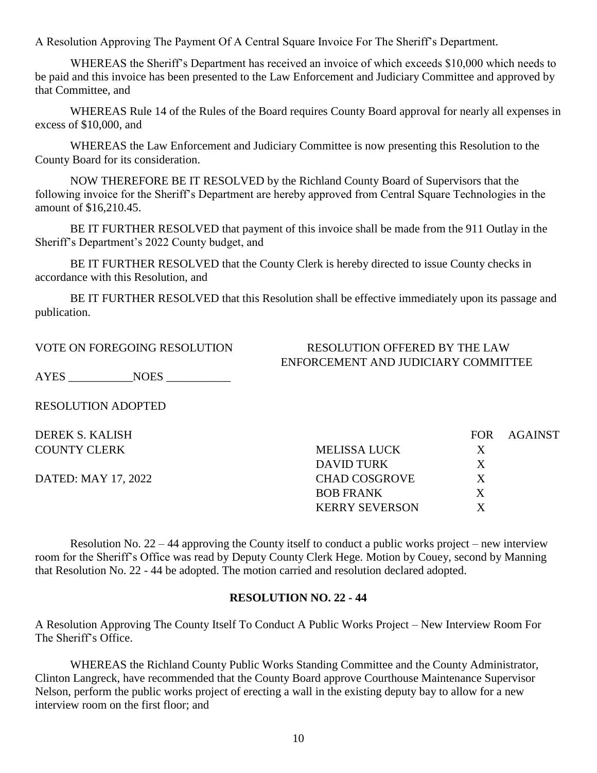A Resolution Approving The Payment Of A Central Square Invoice For The Sheriff's Department.

WHEREAS the Sheriff's Department has received an invoice of which exceeds \$10,000 which needs to be paid and this invoice has been presented to the Law Enforcement and Judiciary Committee and approved by that Committee, and

WHEREAS Rule 14 of the Rules of the Board requires County Board approval for nearly all expenses in excess of \$10,000, and

WHEREAS the Law Enforcement and Judiciary Committee is now presenting this Resolution to the County Board for its consideration.

NOW THEREFORE BE IT RESOLVED by the Richland County Board of Supervisors that the following invoice for the Sheriff's Department are hereby approved from Central Square Technologies in the amount of \$16,210.45.

BE IT FURTHER RESOLVED that payment of this invoice shall be made from the 911 Outlay in the Sheriff's Department's 2022 County budget, and

BE IT FURTHER RESOLVED that the County Clerk is hereby directed to issue County checks in accordance with this Resolution, and

BE IT FURTHER RESOLVED that this Resolution shall be effective immediately upon its passage and publication.

#### VOTE ON FOREGOING RESOLUTION RESOLUTION OFFERED BY THE LAW ENFORCEMENT AND JUDICIARY COMMITTEE

AYES \_\_\_\_\_\_\_\_\_\_\_NOES \_\_\_\_\_\_\_\_\_\_\_

RESOLUTION ADOPTED

DEREK S. KALISH FOR AGAINST COUNTY CLERK MELISSA LUCK X DAVID TURK X DATED: MAY 17, 2022 CHAD COSGROVE X BOB FRANK X KERRY SEVERSON X

Resolution No. 22 – 44 approving the County itself to conduct a public works project – new interview room for the Sheriff's Office was read by Deputy County Clerk Hege. Motion by Couey, second by Manning that Resolution No. 22 - 44 be adopted. The motion carried and resolution declared adopted.

#### **RESOLUTION NO. 22 - 44**

A Resolution Approving The County Itself To Conduct A Public Works Project – New Interview Room For The Sheriff's Office.

WHEREAS the Richland County Public Works Standing Committee and the County Administrator, Clinton Langreck, have recommended that the County Board approve Courthouse Maintenance Supervisor Nelson, perform the public works project of erecting a wall in the existing deputy bay to allow for a new interview room on the first floor; and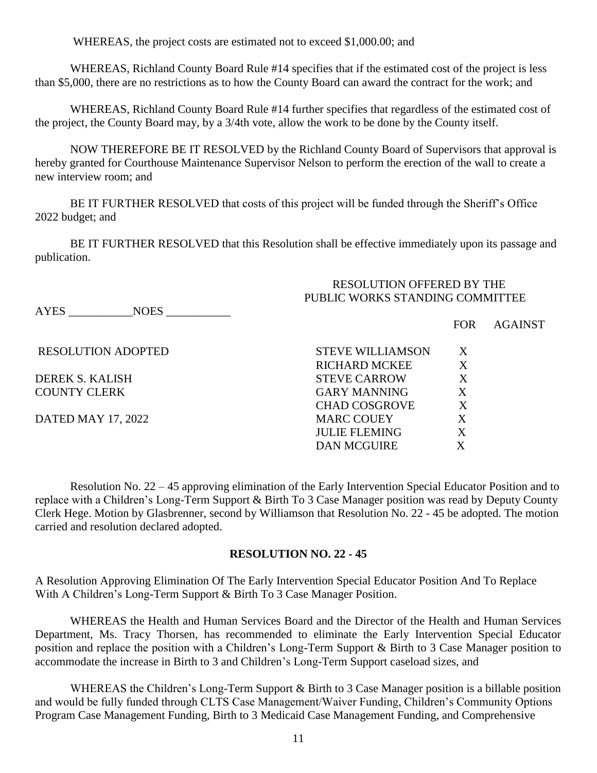WHEREAS, the project costs are estimated not to exceed \$1,000.00; and

WHEREAS, Richland County Board Rule #14 specifies that if the estimated cost of the project is less than \$5,000, there are no restrictions as to how the County Board can award the contract for the work; and

WHEREAS, Richland County Board Rule #14 further specifies that regardless of the estimated cost of the project, the County Board may, by a 3/4th vote, allow the work to be done by the County itself.

NOW THEREFORE BE IT RESOLVED by the Richland County Board of Supervisors that approval is hereby granted for Courthouse Maintenance Supervisor Nelson to perform the erection of the wall to create a new interview room; and

BE IT FURTHER RESOLVED that costs of this project will be funded through the Sheriff's Office 2022 budget; and

BE IT FURTHER RESOLVED that this Resolution shall be effective immediately upon its passage and publication.

#### RESOLUTION OFFERED BY THE PUBLIC WORKS STANDING COMMITTEE

AYES NOES

FOR AGAINST

| <b>RESOLUTION ADOPTED</b> | <b>STEVE WILLIAMSON</b> | X                 |
|---------------------------|-------------------------|-------------------|
|                           | <b>RICHARD MCKEE</b>    | X                 |
| DEREK S. KALISH           | <b>STEVE CARROW</b>     | X                 |
| COUNTY CLERK              | <b>GARY MANNING</b>     | X                 |
|                           | <b>CHAD COSGROVE</b>    | X                 |
| DATED MAY 17, 2022        | <b>MARC COUEY</b>       | $X_{\mathcal{C}}$ |
|                           | <b>JULIE FLEMING</b>    | X                 |
|                           | <b>DAN MCGUIRE</b>      |                   |
|                           |                         |                   |

Resolution No. 22 – 45 approving elimination of the Early Intervention Special Educator Position and to replace with a Children's Long-Term Support & Birth To 3 Case Manager position was read by Deputy County Clerk Hege. Motion by Glasbrenner, second by Williamson that Resolution No. 22 - 45 be adopted. The motion carried and resolution declared adopted.

#### **RESOLUTION NO. 22 - 45**

A Resolution Approving Elimination Of The Early Intervention Special Educator Position And To Replace With A Children's Long-Term Support & Birth To 3 Case Manager Position.

WHEREAS the Health and Human Services Board and the Director of the Health and Human Services Department, Ms. Tracy Thorsen, has recommended to eliminate the Early Intervention Special Educator position and replace the position with a Children's Long-Term Support & Birth to 3 Case Manager position to accommodate the increase in Birth to 3 and Children's Long-Term Support caseload sizes, and

WHEREAS the Children's Long-Term Support & Birth to 3 Case Manager position is a billable position and would be fully funded through CLTS Case Management/Waiver Funding, Children's Community Options Program Case Management Funding, Birth to 3 Medicaid Case Management Funding, and Comprehensive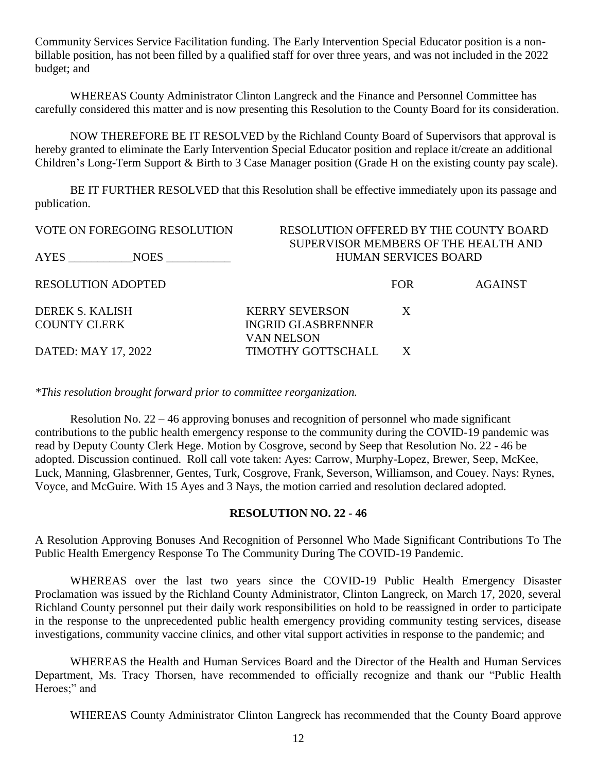Community Services Service Facilitation funding. The Early Intervention Special Educator position is a nonbillable position, has not been filled by a qualified staff for over three years, and was not included in the 2022 budget; and

WHEREAS County Administrator Clinton Langreck and the Finance and Personnel Committee has carefully considered this matter and is now presenting this Resolution to the County Board for its consideration.

NOW THEREFORE BE IT RESOLVED by the Richland County Board of Supervisors that approval is hereby granted to eliminate the Early Intervention Special Educator position and replace it/create an additional Children's Long-Term Support & Birth to 3 Case Manager position (Grade H on the existing county pay scale).

BE IT FURTHER RESOLVED that this Resolution shall be effective immediately upon its passage and publication.

| <b>VOTE ON FOREGOING RESOLUTION</b> | RESOLUTION OFFERED BY THE COUNTY BOARD |                             |                |
|-------------------------------------|----------------------------------------|-----------------------------|----------------|
|                                     | SUPERVISOR MEMBERS OF THE HEALTH AND   |                             |                |
| AYES<br>NOES NOTES                  |                                        | <b>HUMAN SERVICES BOARD</b> |                |
| <b>RESOLUTION ADOPTED</b>           |                                        | <b>FOR</b>                  | <b>AGAINST</b> |
| DEREK S. KALISH                     | <b>KERRY SEVERSON</b>                  | X                           |                |
| <b>COUNTY CLERK</b>                 | <b>INGRID GLASBRENNER</b>              |                             |                |
| DATED: MAY 17, 2022                 | VAN NELSON<br>TIMOTHY GOTTSCHALL       | X                           |                |

*\*This resolution brought forward prior to committee reorganization.*

Resolution No. 22 – 46 approving bonuses and recognition of personnel who made significant contributions to the public health emergency response to the community during the COVID-19 pandemic was read by Deputy County Clerk Hege. Motion by Cosgrove, second by Seep that Resolution No. 22 - 46 be adopted. Discussion continued. Roll call vote taken: Ayes: Carrow, Murphy-Lopez, Brewer, Seep, McKee, Luck, Manning, Glasbrenner, Gentes, Turk, Cosgrove, Frank, Severson, Williamson, and Couey. Nays: Rynes, Voyce, and McGuire. With 15 Ayes and 3 Nays, the motion carried and resolution declared adopted.

#### **RESOLUTION NO. 22 - 46**

A Resolution Approving Bonuses And Recognition of Personnel Who Made Significant Contributions To The Public Health Emergency Response To The Community During The COVID-19 Pandemic.

WHEREAS over the last two years since the COVID-19 Public Health Emergency Disaster Proclamation was issued by the Richland County Administrator, Clinton Langreck, on March 17, 2020, several Richland County personnel put their daily work responsibilities on hold to be reassigned in order to participate in the response to the unprecedented public health emergency providing community testing services, disease investigations, community vaccine clinics, and other vital support activities in response to the pandemic; and

WHEREAS the Health and Human Services Board and the Director of the Health and Human Services Department, Ms. Tracy Thorsen, have recommended to officially recognize and thank our "Public Health Heroes;" and

WHEREAS County Administrator Clinton Langreck has recommended that the County Board approve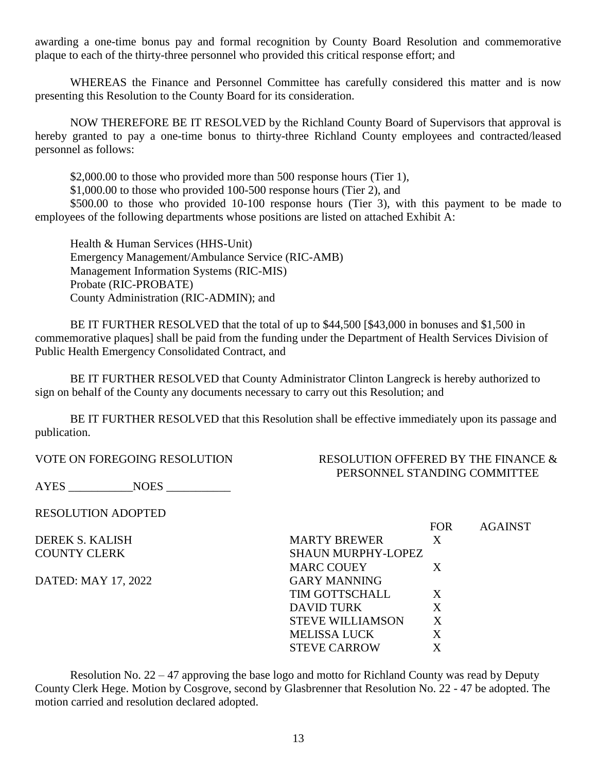awarding a one-time bonus pay and formal recognition by County Board Resolution and commemorative plaque to each of the thirty-three personnel who provided this critical response effort; and

WHEREAS the Finance and Personnel Committee has carefully considered this matter and is now presenting this Resolution to the County Board for its consideration.

NOW THEREFORE BE IT RESOLVED by the Richland County Board of Supervisors that approval is hereby granted to pay a one-time bonus to thirty-three Richland County employees and contracted/leased personnel as follows:

\$2,000.00 to those who provided more than 500 response hours (Tier 1),

\$1,000.00 to those who provided 100-500 response hours (Tier 2), and

\$500.00 to those who provided 10-100 response hours (Tier 3), with this payment to be made to employees of the following departments whose positions are listed on attached Exhibit A:

Health & Human Services (HHS-Unit) Emergency Management/Ambulance Service (RIC-AMB) Management Information Systems (RIC-MIS) Probate (RIC-PROBATE) County Administration (RIC-ADMIN); and

BE IT FURTHER RESOLVED that the total of up to \$44,500 [\$43,000 in bonuses and \$1,500 in commemorative plaques] shall be paid from the funding under the Department of Health Services Division of Public Health Emergency Consolidated Contract, and

BE IT FURTHER RESOLVED that County Administrator Clinton Langreck is hereby authorized to sign on behalf of the County any documents necessary to carry out this Resolution; and

BE IT FURTHER RESOLVED that this Resolution shall be effective immediately upon its passage and publication.

VOTE ON FOREGOING RESOLUTION RESOLUTION RESOLUTION OFFERED BY THE FINANCE  $\&$ PERSONNEL STANDING COMMITTEE

AYES \_\_\_\_\_\_\_\_\_\_\_NOES \_\_\_\_\_\_\_\_\_\_\_

RESOLUTION ADOPTED

DATED: MAY 17, 2022 GARY MANNING

 FOR AGAINST DEREK S. KALISH MARTY BREWER X COUNTY CLERK SHAUN MURPHY-LOPEZ MARC COUEY X TIM GOTTSCHALL X DAVID TURK X STEVE WILLIAMSON X MELISSA LUCK X STEVE CARROW X

Resolution No. 22 – 47 approving the base logo and motto for Richland County was read by Deputy County Clerk Hege. Motion by Cosgrove, second by Glasbrenner that Resolution No. 22 - 47 be adopted. The motion carried and resolution declared adopted.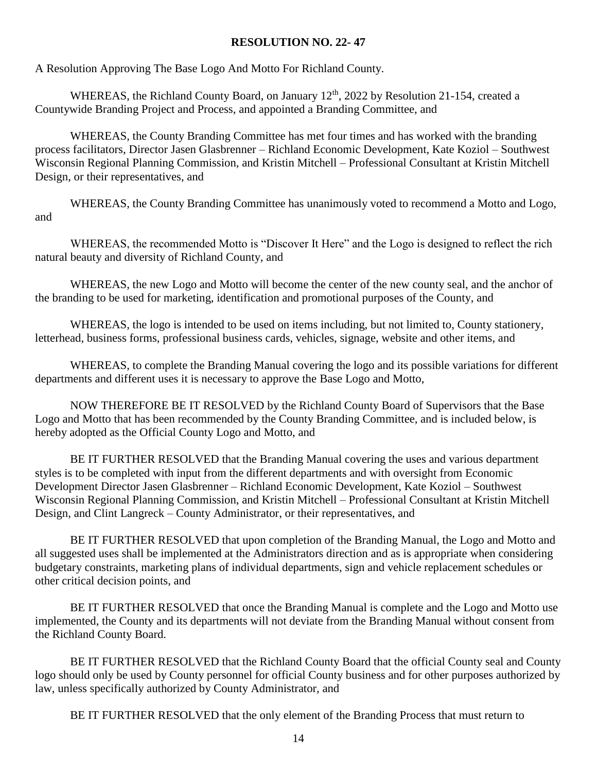#### **RESOLUTION NO. 22- 47**

A Resolution Approving The Base Logo And Motto For Richland County.

WHEREAS, the Richland County Board, on January 12<sup>th</sup>, 2022 by Resolution 21-154, created a Countywide Branding Project and Process, and appointed a Branding Committee, and

WHEREAS, the County Branding Committee has met four times and has worked with the branding process facilitators, Director Jasen Glasbrenner – Richland Economic Development, Kate Koziol – Southwest Wisconsin Regional Planning Commission, and Kristin Mitchell – Professional Consultant at Kristin Mitchell Design, or their representatives, and

WHEREAS, the County Branding Committee has unanimously voted to recommend a Motto and Logo, and

WHEREAS, the recommended Motto is "Discover It Here" and the Logo is designed to reflect the rich natural beauty and diversity of Richland County, and

WHEREAS, the new Logo and Motto will become the center of the new county seal, and the anchor of the branding to be used for marketing, identification and promotional purposes of the County, and

WHEREAS, the logo is intended to be used on items including, but not limited to, County stationery, letterhead, business forms, professional business cards, vehicles, signage, website and other items, and

WHEREAS, to complete the Branding Manual covering the logo and its possible variations for different departments and different uses it is necessary to approve the Base Logo and Motto,

NOW THEREFORE BE IT RESOLVED by the Richland County Board of Supervisors that the Base Logo and Motto that has been recommended by the County Branding Committee, and is included below, is hereby adopted as the Official County Logo and Motto, and

BE IT FURTHER RESOLVED that the Branding Manual covering the uses and various department styles is to be completed with input from the different departments and with oversight from Economic Development Director Jasen Glasbrenner – Richland Economic Development, Kate Koziol – Southwest Wisconsin Regional Planning Commission, and Kristin Mitchell – Professional Consultant at Kristin Mitchell Design, and Clint Langreck – County Administrator, or their representatives, and

BE IT FURTHER RESOLVED that upon completion of the Branding Manual, the Logo and Motto and all suggested uses shall be implemented at the Administrators direction and as is appropriate when considering budgetary constraints, marketing plans of individual departments, sign and vehicle replacement schedules or other critical decision points, and

BE IT FURTHER RESOLVED that once the Branding Manual is complete and the Logo and Motto use implemented, the County and its departments will not deviate from the Branding Manual without consent from the Richland County Board.

BE IT FURTHER RESOLVED that the Richland County Board that the official County seal and County logo should only be used by County personnel for official County business and for other purposes authorized by law, unless specifically authorized by County Administrator, and

BE IT FURTHER RESOLVED that the only element of the Branding Process that must return to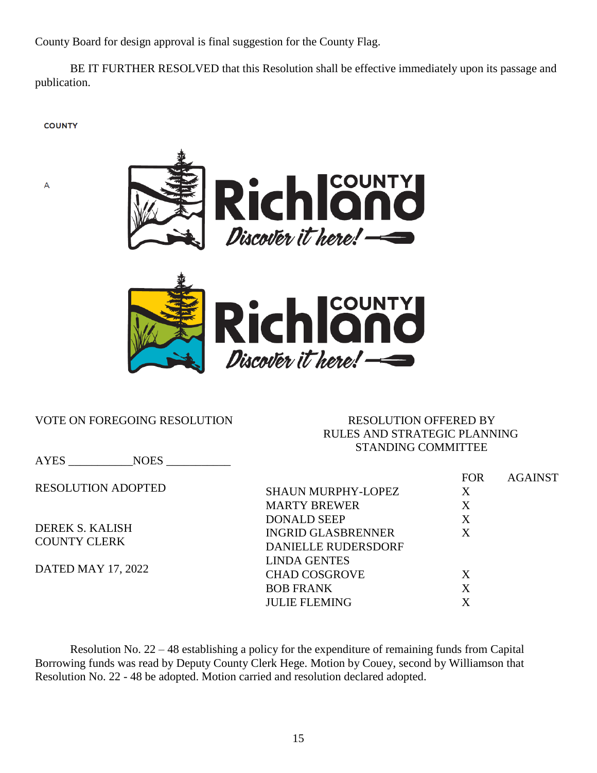County Board for design approval is final suggestion for the County Flag.

BE IT FURTHER RESOLVED that this Resolution shall be effective immediately upon its passage and publication.

**COUNTY** 

A





#### VOTE ON FOREGOING RESOLUTION RESOLUTION OFFERED BY

## RULES AND STRATEGIC PLANNING STANDING COMMITTEE

AYES NOES RESOLUTION ADOPTED DEREK S. KALISH COUNTY CLERK DATED MAY 17, 2022 FOR AGAINST SHAUN MURPHY-LOPEZ X MARTY BREWER X DONALD SEEP X INGRID GLASBRENNER X DANIELLE RUDERSDORF LINDA GENTES CHAD COSGROVE X BOB FRANK X JULIE FLEMING X

Resolution No. 22 – 48 establishing a policy for the expenditure of remaining funds from Capital Borrowing funds was read by Deputy County Clerk Hege. Motion by Couey, second by Williamson that Resolution No. 22 - 48 be adopted. Motion carried and resolution declared adopted.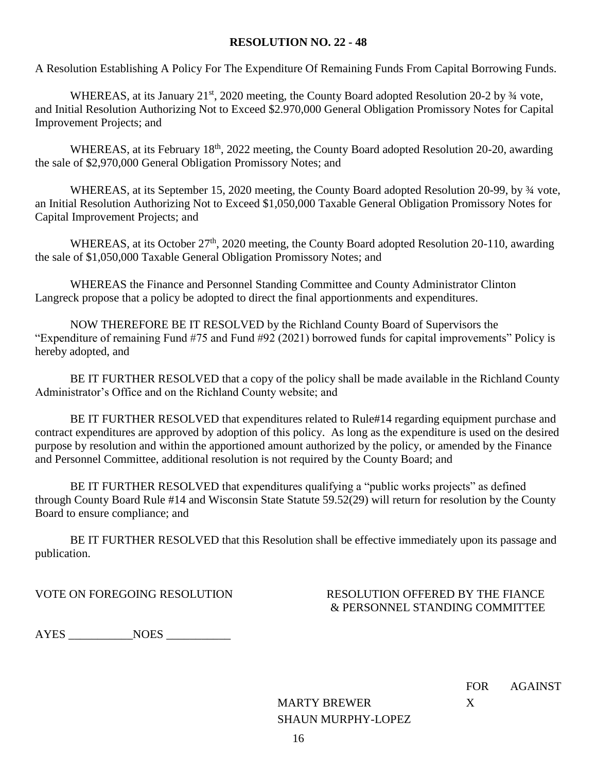#### **RESOLUTION NO. 22 - 48**

A Resolution Establishing A Policy For The Expenditure Of Remaining Funds From Capital Borrowing Funds.

WHEREAS, at its January 21<sup>st</sup>, 2020 meeting, the County Board adopted Resolution 20-2 by <sup>3</sup>/4 vote, and Initial Resolution Authorizing Not to Exceed \$2.970,000 General Obligation Promissory Notes for Capital Improvement Projects; and

WHEREAS, at its February 18<sup>th</sup>, 2022 meeting, the County Board adopted Resolution 20-20, awarding the sale of \$2,970,000 General Obligation Promissory Notes; and

WHEREAS, at its September 15, 2020 meeting, the County Board adopted Resolution 20-99, by  $\frac{3}{4}$  vote, an Initial Resolution Authorizing Not to Exceed \$1,050,000 Taxable General Obligation Promissory Notes for Capital Improvement Projects; and

WHEREAS, at its October 27<sup>th</sup>, 2020 meeting, the County Board adopted Resolution 20-110, awarding the sale of \$1,050,000 Taxable General Obligation Promissory Notes; and

WHEREAS the Finance and Personnel Standing Committee and County Administrator Clinton Langreck propose that a policy be adopted to direct the final apportionments and expenditures.

NOW THEREFORE BE IT RESOLVED by the Richland County Board of Supervisors the "Expenditure of remaining Fund #75 and Fund #92 (2021) borrowed funds for capital improvements" Policy is hereby adopted, and

BE IT FURTHER RESOLVED that a copy of the policy shall be made available in the Richland County Administrator's Office and on the Richland County website; and

BE IT FURTHER RESOLVED that expenditures related to Rule#14 regarding equipment purchase and contract expenditures are approved by adoption of this policy. As long as the expenditure is used on the desired purpose by resolution and within the apportioned amount authorized by the policy, or amended by the Finance and Personnel Committee, additional resolution is not required by the County Board; and

BE IT FURTHER RESOLVED that expenditures qualifying a "public works projects" as defined through County Board Rule #14 and Wisconsin State Statute 59.52(29) will return for resolution by the County Board to ensure compliance; and

BE IT FURTHER RESOLVED that this Resolution shall be effective immediately upon its passage and publication.

VOTE ON FOREGOING RESOLUTION RESOLUTION OFFERED BY THE FIANCE & PERSONNEL STANDING COMMITTEE

FOR AGAINST

AYES \_\_\_\_\_\_\_\_\_\_\_NOES \_\_\_\_\_\_\_\_\_\_\_

MARTY BREWER X SHAUN MURPHY-LOPEZ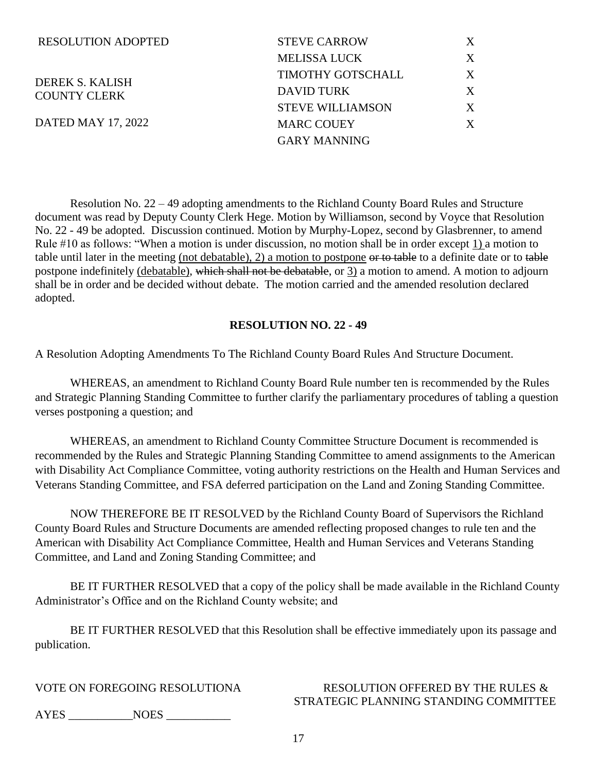| <b>RESOLUTION ADOPTED</b>              | <b>STEVE CARROW</b>     | X |
|----------------------------------------|-------------------------|---|
|                                        | <b>MELISSA LUCK</b>     | X |
| DEREK S. KALISH<br><b>COUNTY CLERK</b> | TIMOTHY GOTSCHALL       | X |
|                                        | DAVID TURK              | X |
|                                        | <b>STEVE WILLIAMSON</b> | X |
| DATED MAY 17, 2022                     | <b>MARC COUEY</b>       | X |
|                                        | <b>GARY MANNING</b>     |   |

Resolution No. 22 – 49 adopting amendments to the Richland County Board Rules and Structure document was read by Deputy County Clerk Hege. Motion by Williamson, second by Voyce that Resolution No. 22 - 49 be adopted. Discussion continued. Motion by Murphy-Lopez, second by Glasbrenner, to amend Rule #10 as follows: "When a motion is under discussion, no motion shall be in order except 1) a motion to table until later in the meeting (not debatable), 2) a motion to postpone or to table to a definite date or to table postpone indefinitely (debatable), which shall not be debatable, or 3) a motion to amend. A motion to adjourn shall be in order and be decided without debate. The motion carried and the amended resolution declared adopted.

#### **RESOLUTION NO. 22 - 49**

A Resolution Adopting Amendments To The Richland County Board Rules And Structure Document.

WHEREAS, an amendment to Richland County Board Rule number ten is recommended by the Rules and Strategic Planning Standing Committee to further clarify the parliamentary procedures of tabling a question verses postponing a question; and

WHEREAS, an amendment to Richland County Committee Structure Document is recommended is recommended by the Rules and Strategic Planning Standing Committee to amend assignments to the American with Disability Act Compliance Committee, voting authority restrictions on the Health and Human Services and Veterans Standing Committee, and FSA deferred participation on the Land and Zoning Standing Committee.

NOW THEREFORE BE IT RESOLVED by the Richland County Board of Supervisors the Richland County Board Rules and Structure Documents are amended reflecting proposed changes to rule ten and the American with Disability Act Compliance Committee, Health and Human Services and Veterans Standing Committee, and Land and Zoning Standing Committee; and

BE IT FURTHER RESOLVED that a copy of the policy shall be made available in the Richland County Administrator's Office and on the Richland County website; and

BE IT FURTHER RESOLVED that this Resolution shall be effective immediately upon its passage and publication.

### VOTE ON FOREGOING RESOLUTIONA RESOLUTION OFFERED BY THE RULES & STRATEGIC PLANNING STANDING COMMITTEE

AYES NOES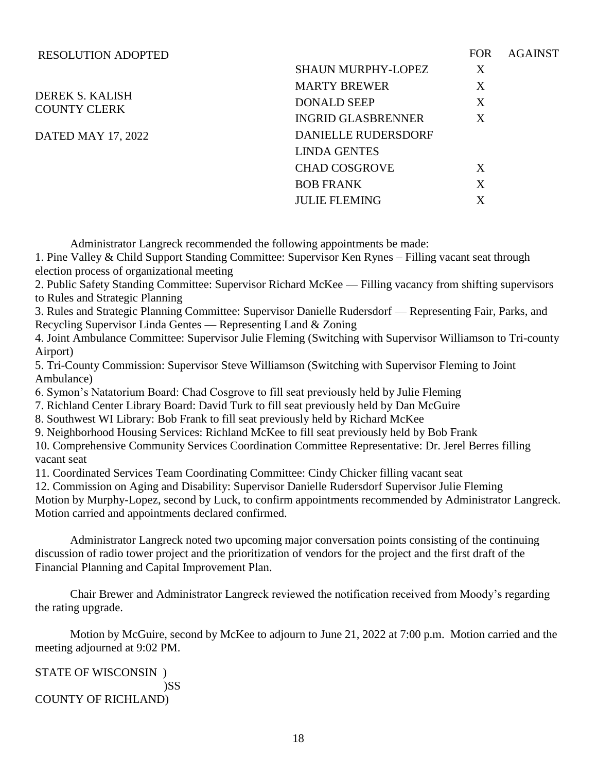| <b>RESOLUTION ADOPTED</b>                     |                            | <b>FOR</b> | <b>AGAINST</b> |
|-----------------------------------------------|----------------------------|------------|----------------|
|                                               | <b>SHAUN MURPHY-LOPEZ</b>  | X          |                |
|                                               | <b>MARTY BREWER</b>        | X          |                |
| <b>DEREK S. KALISH</b><br><b>COUNTY CLERK</b> | <b>DONALD SEEP</b>         | X          |                |
|                                               | <b>INGRID GLASBRENNER</b>  | X          |                |
| DATED MAY 17, 2022                            | <b>DANIELLE RUDERSDORF</b> |            |                |
|                                               | <b>LINDA GENTES</b>        |            |                |
|                                               | <b>CHAD COSGROVE</b>       | X          |                |
|                                               | <b>BOB FRANK</b>           | X          |                |
|                                               | <b>JULIE FLEMING</b>       | X          |                |
|                                               |                            |            |                |

Administrator Langreck recommended the following appointments be made:

1. Pine Valley & Child Support Standing Committee: Supervisor Ken Rynes – Filling vacant seat through election process of organizational meeting

2. Public Safety Standing Committee: Supervisor Richard McKee — Filling vacancy from shifting supervisors to Rules and Strategic Planning

3. Rules and Strategic Planning Committee: Supervisor Danielle Rudersdorf — Representing Fair, Parks, and Recycling Supervisor Linda Gentes — Representing Land & Zoning

4. Joint Ambulance Committee: Supervisor Julie Fleming (Switching with Supervisor Williamson to Tri-county Airport)

5. Tri-County Commission: Supervisor Steve Williamson (Switching with Supervisor Fleming to Joint Ambulance)

6. Symon's Natatorium Board: Chad Cosgrove to fill seat previously held by Julie Fleming

7. Richland Center Library Board: David Turk to fill seat previously held by Dan McGuire

8. Southwest WI Library: Bob Frank to fill seat previously held by Richard McKee

9. Neighborhood Housing Services: Richland McKee to fill seat previously held by Bob Frank

10. Comprehensive Community Services Coordination Committee Representative: Dr. Jerel Berres filling vacant seat

11. Coordinated Services Team Coordinating Committee: Cindy Chicker filling vacant seat

12. Commission on Aging and Disability: Supervisor Danielle Rudersdorf Supervisor Julie Fleming

Motion by Murphy-Lopez, second by Luck, to confirm appointments recommended by Administrator Langreck. Motion carried and appointments declared confirmed.

Administrator Langreck noted two upcoming major conversation points consisting of the continuing discussion of radio tower project and the prioritization of vendors for the project and the first draft of the Financial Planning and Capital Improvement Plan.

Chair Brewer and Administrator Langreck reviewed the notification received from Moody's regarding the rating upgrade.

Motion by McGuire, second by McKee to adjourn to June 21, 2022 at 7:00 p.m. Motion carried and the meeting adjourned at 9:02 PM.

STATE OF WISCONSIN ) )SS COUNTY OF RICHLAND)